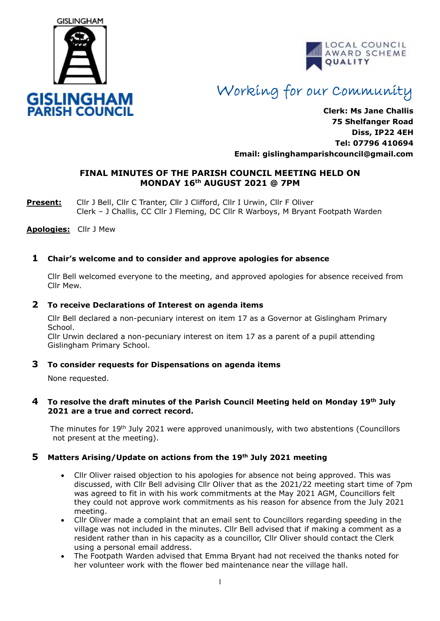



# Working for our Community

**Clerk: Ms Jane Challis 75 Shelfanger Road Diss, IP22 4EH Tel: 07796 410694 Email: [gislinghamparishcouncil@gmail.com](mailto:gislinghamparishcouncil@gmail.com)**

# **FINAL MINUTES OF THE PARISH COUNCIL MEETING HELD ON MONDAY 16 th AUGUST 2021 @ 7PM**

**Present:** Cllr J Bell, Cllr C Tranter, Cllr J Clifford, Cllr I Urwin, Cllr F Oliver Clerk – J Challis, CC Cllr J Fleming, DC Cllr R Warboys, M Bryant Footpath Warden

**Apologies:** Cllr J Mew

## **1 Chair's welcome and to consider and approve apologies for absence**

Cllr Bell welcomed everyone to the meeting, and approved apologies for absence received from Cllr Mew.

#### **2 To receive Declarations of Interest on agenda items**

 Cllr Bell declared a non-pecuniary interest on item 17 as a Governor at Gislingham Primary School.

Cllr Urwin declared a non-pecuniary interest on item 17 as a parent of a pupil attending Gislingham Primary School.

#### **3 To consider requests for Dispensations on agenda items**

None requested.

#### **4 To resolve the draft minutes of the Parish Council Meeting held on Monday 19th July 2021 are a true and correct record.**

The minutes for 19<sup>th</sup> July 2021 were approved unanimously, with two abstentions (Councillors not present at the meeting).

# **5 Matters Arising/Update on actions from the 19th July 2021 meeting**

- Cllr Oliver raised objection to his apologies for absence not being approved. This was discussed, with Cllr Bell advising Cllr Oliver that as the 2021/22 meeting start time of 7pm was agreed to fit in with his work commitments at the May 2021 AGM, Councillors felt they could not approve work commitments as his reason for absence from the July 2021 meeting.
- Cllr Oliver made a complaint that an email sent to Councillors regarding speeding in the village was not included in the minutes. Cllr Bell advised that if making a comment as a resident rather than in his capacity as a councillor, Cllr Oliver should contact the Clerk using a personal email address.
- The Footpath Warden advised that Emma Bryant had not received the thanks noted for her volunteer work with the flower bed maintenance near the village hall.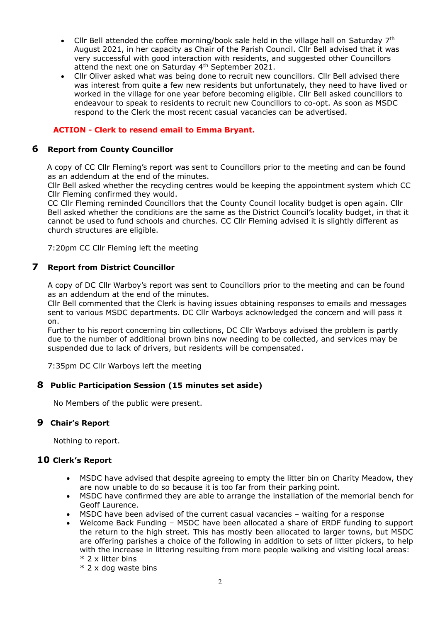- Cllr Bell attended the coffee morning/book sale held in the village hall on Saturday 7<sup>th</sup> August 2021, in her capacity as Chair of the Parish Council. Cllr Bell advised that it was very successful with good interaction with residents, and suggested other Councillors attend the next one on Saturday 4<sup>th</sup> September 2021.
- Cllr Oliver asked what was being done to recruit new councillors. Cllr Bell advised there was interest from quite a few new residents but unfortunately, they need to have lived or worked in the village for one year before becoming eligible. Cllr Bell asked councillors to endeavour to speak to residents to recruit new Councillors to co-opt. As soon as MSDC respond to the Clerk the most recent casual vacancies can be advertised.

## **ACTION - Clerk to resend email to Emma Bryant.**

#### **6 Report from County Councillor**

A copy of CC Cllr Fleming's report was sent to Councillors prior to the meeting and can be found as an addendum at the end of the minutes.

Cllr Bell asked whether the recycling centres would be keeping the appointment system which CC Cllr Fleming confirmed they would.

CC Cllr Fleming reminded Councillors that the County Council locality budget is open again. Cllr Bell asked whether the conditions are the same as the District Council's locality budget, in that it cannot be used to fund schools and churches. CC Cllr Fleming advised it is slightly different as church structures are eligible.

7:20pm CC Cllr Fleming left the meeting

#### **7 Report from District Councillor**

A copy of DC Cllr Warboy's report was sent to Councillors prior to the meeting and can be found as an addendum at the end of the minutes.

Cllr Bell commented that the Clerk is having issues obtaining responses to emails and messages sent to various MSDC departments. DC Cllr Warboys acknowledged the concern and will pass it on.

Further to his report concerning bin collections, DC Cllr Warboys advised the problem is partly due to the number of additional brown bins now needing to be collected, and services may be suspended due to lack of drivers, but residents will be compensated.

7:35pm DC Cllr Warboys left the meeting

#### **8 Public Participation Session (15 minutes set aside)**

No Members of the public were present.

## **9 Chair's Report**

Nothing to report.

#### **10 Clerk's Report**

- MSDC have advised that despite agreeing to empty the litter bin on Charity Meadow, they are now unable to do so because it is too far from their parking point.
- MSDC have confirmed they are able to arrange the installation of the memorial bench for Geoff Laurence.
- MSDC have been advised of the current casual vacancies waiting for a response
- Welcome Back Funding MSDC have been allocated a share of ERDF funding to support the return to the high street. This has mostly been allocated to larger towns, but MSDC are offering parishes a choice of the following in addition to sets of litter pickers, to help with the increase in littering resulting from more people walking and visiting local areas: \* 2 x litter bins
	- \* 2 x dog waste bins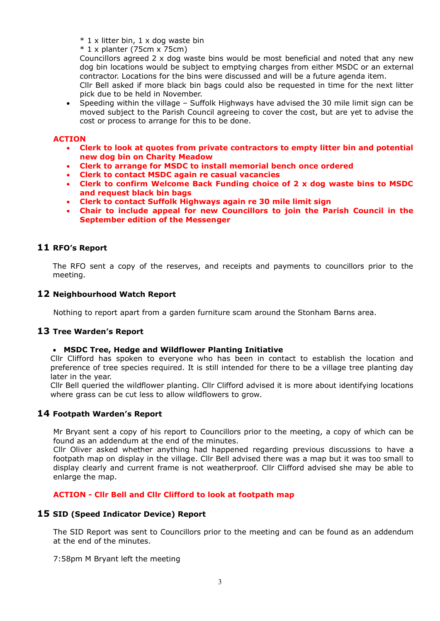- \* 1 x litter bin, 1 x dog waste bin
- $*$  1 x planter (75cm x 75cm)

Councillors agreed  $2 \times$  dog waste bins would be most beneficial and noted that any new dog bin locations would be subject to emptying charges from either MSDC or an external contractor. Locations for the bins were discussed and will be a future agenda item.

Cllr Bell asked if more black bin bags could also be requested in time for the next litter pick due to be held in November.

• Speeding within the village – Suffolk Highways have advised the 30 mile limit sign can be moved subject to the Parish Council agreeing to cover the cost, but are yet to advise the cost or process to arrange for this to be done.

#### **ACTION**

- **Clerk to look at quotes from private contractors to empty litter bin and potential new dog bin on Charity Meadow**
- **Clerk to arrange for MSDC to install memorial bench once ordered**
- **Clerk to contact MSDC again re casual vacancies**
- **Clerk to confirm Welcome Back Funding choice of 2 x dog waste bins to MSDC and request black bin bags**
- **Clerk to contact Suffolk Highways again re 30 mile limit sign**
- **Chair to include appeal for new Councillors to join the Parish Council in the September edition of the Messenger**

#### **11 RFO's Report**

The RFO sent a copy of the reserves, and receipts and payments to councillors prior to the meeting.

#### **12 Neighbourhood Watch Report**

Nothing to report apart from a garden furniture scam around the Stonham Barns area.

#### **13 Tree Warden's Report**

#### • **MSDC Tree, Hedge and Wildflower Planting Initiative**

Cllr Clifford has spoken to everyone who has been in contact to establish the location and preference of tree species required. It is still intended for there to be a village tree planting day later in the year.

Cllr Bell queried the wildflower planting. Cllr Clifford advised it is more about identifying locations where grass can be cut less to allow wildflowers to grow.

#### **14 Footpath Warden's Report**

Mr Bryant sent a copy of his report to Councillors prior to the meeting, a copy of which can be found as an addendum at the end of the minutes.

Cllr Oliver asked whether anything had happened regarding previous discussions to have a footpath map on display in the village. Cllr Bell advised there was a map but it was too small to display clearly and current frame is not weatherproof. Cllr Clifford advised she may be able to enlarge the map.

#### **ACTION - Cllr Bell and Cllr Clifford to look at footpath map**

#### **15 SID (Speed Indicator Device) Report**

The SID Report was sent to Councillors prior to the meeting and can be found as an addendum at the end of the minutes.

7:58pm M Bryant left the meeting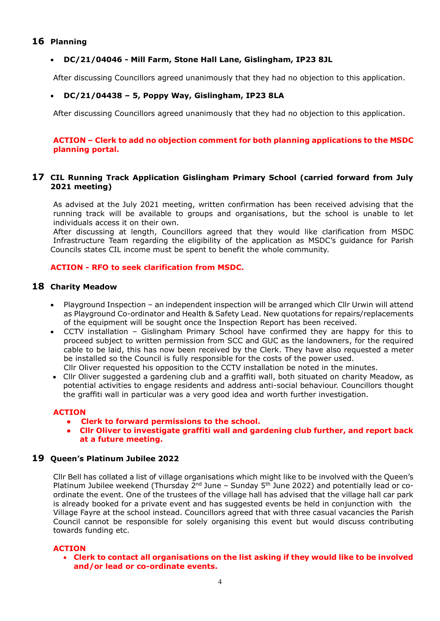## **16 Planning**

## • **DC/21/04046 - Mill Farm, Stone Hall Lane, Gislingham, IP23 8JL**

After discussing Councillors agreed unanimously that they had no objection to this application.

#### • **DC/21/04438 – 5, Poppy Way, Gislingham, IP23 8LA**

After discussing Councillors agreed unanimously that they had no objection to this application.

#### **ACTION – Clerk to add no objection comment for both planning applications to the MSDC planning portal.**

## **17 CIL Running Track Application Gislingham Primary School (carried forward from July 2021 meeting)**

As advised at the July 2021 meeting, written confirmation has been received advising that the running track will be available to groups and organisations, but the school is unable to let individuals access it on their own.

After discussing at length, Councillors agreed that they would like clarification from MSDC Infrastructure Team regarding the eligibility of the application as MSDC's guidance for Parish Councils states CIL income must be spent to benefit the whole community.

#### **ACTION - RFO to seek clarification from MSDC.**

## **18 Charity Meadow**

- Playground Inspection an independent inspection will be arranged which Cllr Urwin will attend as Playground Co-ordinator and Health & Safety Lead. New quotations for repairs/replacements of the equipment will be sought once the Inspection Report has been received.
- CCTV installation Gislingham Primary School have confirmed they are happy for this to proceed subject to written permission from SCC and GUC as the landowners, for the required cable to be laid, this has now been received by the Clerk. They have also requested a meter be installed so the Council is fully responsible for the costs of the power used. Cllr Oliver requested his opposition to the CCTV installation be noted in the minutes.
- Cllr Oliver suggested a gardening club and a graffiti wall, both situated on charity Meadow, as potential activities to engage residents and address anti-social behaviour. Councillors thought the graffiti wall in particular was a very good idea and worth further investigation.

#### **ACTION**

- **Clerk to forward permissions to the school.**
- **Cllr Oliver to investigate graffiti wall and gardening club further, and report back at a future meeting.**

#### **19 Queen's Platinum Jubilee 2022**

Cllr Bell has collated a list of village organisations which might like to be involved with the Queen's Platinum Jubilee weekend (Thursday  $2^{nd}$  June – Sunday  $5^{th}$  June 2022) and potentially lead or coordinate the event. One of the trustees of the village hall has advised that the village hall car park is already booked for a private event and has suggested events be held in conjunction with the Village Fayre at the school instead. Councillors agreed that with three casual vacancies the Parish Council cannot be responsible for solely organising this event but would discuss contributing towards funding etc.

#### **ACTION**

• **Clerk to contact all organisations on the list asking if they would like to be involved and/or lead or co-ordinate events.**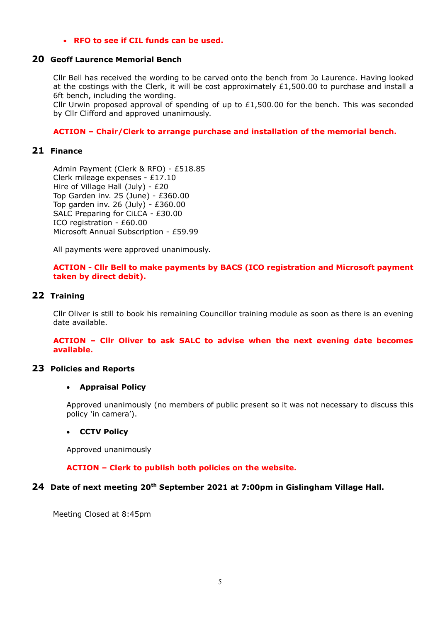#### • **RFO to see if CIL funds can be used.**

#### **20 Geoff Laurence Memorial Bench**

Cllr Bell has received the wording to be carved onto the bench from Jo Laurence. Having looked at the costings with the Clerk, it will be cost approximately  $£1,500.00$  to purchase and install a 6ft bench, including the wording.

Cllr Urwin proposed approval of spending of up to  $£1,500.00$  for the bench. This was seconded by Cllr Clifford and approved unanimously.

#### **ACTION – Chair/Clerk to arrange purchase and installation of the memorial bench.**

#### **21 Finance**

Admin Payment (Clerk & RFO) - £518.85 Clerk mileage expenses - £17.10 Hire of Village Hall (July) - £20 Top Garden inv. 25 (June) - £360.00 Top garden inv. 26 (July) - £360.00 SALC Preparing for CiLCA - £30.00 ICO registration - £60.00 Microsoft Annual Subscription - £59.99

All payments were approved unanimously.

#### **ACTION - Cllr Bell to make payments by BACS (ICO registration and Microsoft payment taken by direct debit).**

#### **22 Training**

Cllr Oliver is still to book his remaining Councillor training module as soon as there is an evening date available.

**ACTION – Cllr Oliver to ask SALC to advise when the next evening date becomes available.**

#### **23 Policies and Reports**

#### • **Appraisal Policy**

Approved unanimously (no members of public present so it was not necessary to discuss this policy 'in camera').

#### • **CCTV Policy**

Approved unanimously

#### **ACTION – Clerk to publish both policies on the website.**

#### **24 Date of next meeting 20th September 2021 at 7:00pm in Gislingham Village Hall.**

Meeting Closed at 8:45pm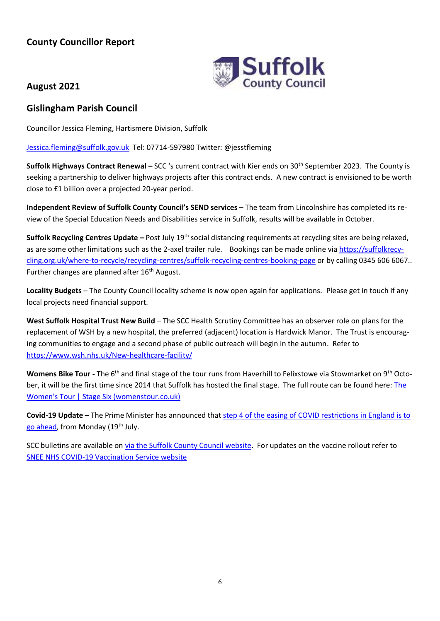# **County Councillor Report**



# **August 2021**

# **Gislingham Parish Council**

Councillor Jessica Fleming, Hartismere Division, Suffolk

[Jessica.fleming@suffolk.gov.uk](mailto:Jessica.fleming@suffolk.gov.uk) Tel: 07714-597980 Twitter: @jesstfleming

**Suffolk Highways Contract Renewal –** SCC 's current contract with Kier ends on 30th September 2023. The County is seeking a partnership to deliver highways projects after this contract ends. A new contract is envisioned to be worth close to £1 billion over a projected 20-year period.

**Independent Review of Suffolk County Council's SEND services** – The team from Lincolnshire has completed its review of the Special Education Needs and Disabilities service in Suffolk, results will be available in October.

**Suffolk Recycling Centres Update** – Post July 19<sup>th</sup> social distancing requirements at recycling sites are being relaxed, as are some other limitations such as the 2-axel trailer rule. Bookings can be made online via [https://suffolkrecy](https://suffolkrecycling.org.uk/where-to-recycle/recycling-centres/suffolk-recycling-centres-booking-page)[cling.org.uk/where-to-recycle/recycling-centres/suffolk-recycling-centres-booking-page](https://suffolkrecycling.org.uk/where-to-recycle/recycling-centres/suffolk-recycling-centres-booking-page) or by calling 0345 606 6067.. Further changes are planned after 16<sup>th</sup> August.

**Locality Budgets** – The County Council locality scheme is now open again for applications. Please get in touch if any local projects need financial support.

**West Suffolk Hospital Trust New Build** – The SCC Health Scrutiny Committee has an observer role on plans for the replacement of WSH by a new hospital, the preferred (adjacent) location is Hardwick Manor. The Trust is encouraging communities to engage and a second phase of public outreach will begin in the autumn. Refer to <https://www.wsh.nhs.uk/New-healthcare-facility/>

Womens Bike Tour - The 6<sup>th</sup> and final stage of the tour runs from Haverhill to Felixstowe via Stowmarket on 9<sup>th</sup> October, it will be the first time since 2014 that Suffolk has hosted the final stage. The full route can be found here: [The](https://www.womenstour.co.uk/stages/stage-6/)  [Women's Tour | Stage Six \(womenstour.co.uk\)](https://www.womenstour.co.uk/stages/stage-6/)

**Covid-19 Update** – The Prime Minister has announced that [step 4 of the easing of COVID restrictions in England is to](https://www.gov.uk/guidance/covid-19-coronavirus-restrictions-what-you-can-and-cannot-do#england-moves-to-step-4-from-19-july)  [go ahead,](https://www.gov.uk/guidance/covid-19-coronavirus-restrictions-what-you-can-and-cannot-do#england-moves-to-step-4-from-19-july) from Monday (19th July.

SCC bulletins are available on [via the Suffolk County Council website.](https://www.suffolk.gov.uk/coronavirus-covid-19/suffolks-response/suffolk-coronawatch-bulletin/) For updates on the vaccine rollout refer to [SNEE NHS COVID-19 Vaccination Service website](https://sneevaccine.org.uk/)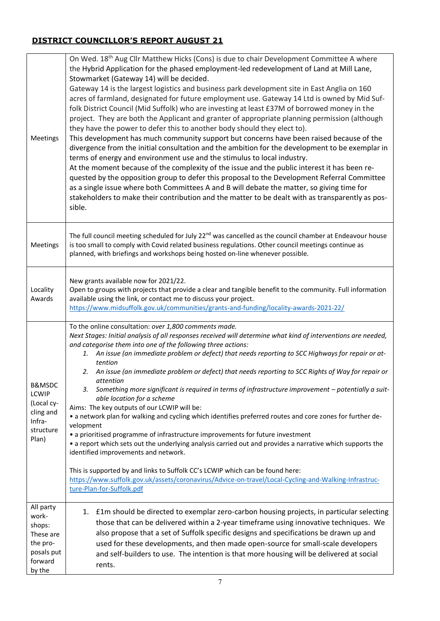# **DISTRICT COUNCILLOR'S REPORT AUGUST 21**

| Meetings                                                                                     | On Wed. 18 <sup>th</sup> Aug Cllr Matthew Hicks (Cons) is due to chair Development Committee A where<br>the Hybrid Application for the phased employment-led redevelopment of Land at Mill Lane,<br>Stowmarket (Gateway 14) will be decided.<br>Gateway 14 is the largest logistics and business park development site in East Anglia on 160<br>acres of farmland, designated for future employment use. Gateway 14 Ltd is owned by Mid Suf-<br>folk District Council (Mid Suffolk) who are investing at least £37M of borrowed money in the<br>project. They are both the Applicant and granter of appropriate planning permission (although<br>they have the power to defer this to another body should they elect to).<br>This development has much community support but concerns have been raised because of the<br>divergence from the initial consultation and the ambition for the development to be exemplar in<br>terms of energy and environment use and the stimulus to local industry.<br>At the moment because of the complexity of the issue and the public interest it has been re-<br>quested by the opposition group to defer this proposal to the Development Referral Committee<br>as a single issue where both Committees A and B will debate the matter, so giving time for<br>stakeholders to make their contribution and the matter to be dealt with as transparently as pos-<br>sible. |
|----------------------------------------------------------------------------------------------|-----------------------------------------------------------------------------------------------------------------------------------------------------------------------------------------------------------------------------------------------------------------------------------------------------------------------------------------------------------------------------------------------------------------------------------------------------------------------------------------------------------------------------------------------------------------------------------------------------------------------------------------------------------------------------------------------------------------------------------------------------------------------------------------------------------------------------------------------------------------------------------------------------------------------------------------------------------------------------------------------------------------------------------------------------------------------------------------------------------------------------------------------------------------------------------------------------------------------------------------------------------------------------------------------------------------------------------------------------------------------------------------------------------------|
| Meetings                                                                                     | The full council meeting scheduled for July 22 <sup>nd</sup> was cancelled as the council chamber at Endeavour house<br>is too small to comply with Covid related business regulations. Other council meetings continue as<br>planned, with briefings and workshops being hosted on-line whenever possible.                                                                                                                                                                                                                                                                                                                                                                                                                                                                                                                                                                                                                                                                                                                                                                                                                                                                                                                                                                                                                                                                                                     |
| Locality<br>Awards                                                                           | New grants available now for 2021/22.<br>Open to groups with projects that provide a clear and tangible benefit to the community. Full information<br>available using the link, or contact me to discuss your project.<br>https://www.midsuffolk.gov.uk/communities/grants-and-funding/locality-awards-2021-22/                                                                                                                                                                                                                                                                                                                                                                                                                                                                                                                                                                                                                                                                                                                                                                                                                                                                                                                                                                                                                                                                                                 |
| <b>B&amp;MSDC</b><br><b>LCWIP</b><br>(Local cy-<br>cling and<br>Infra-<br>structure<br>Plan) | To the online consultation: over 1,800 comments made.<br>Next Stages: Initial analysis of all responses received will determine what kind of interventions are needed,<br>and categorise them into one of the following three actions:<br>1. An issue (an immediate problem or defect) that needs reporting to SCC Highways for repair or at-<br>tention<br>An issue (an immediate problem or defect) that needs reporting to SCC Rights of Way for repair or<br>2.<br>attention<br>Something more significant is required in terms of infrastructure improvement - potentially a suit-<br>3.<br>able location for a scheme<br>Aims: The key outputs of our LCWIP will be:<br>• a network plan for walking and cycling which identifies preferred routes and core zones for further de-<br>velopment<br>• a prioritised programme of infrastructure improvements for future investment<br>• a report which sets out the underlying analysis carried out and provides a narrative which supports the<br>identified improvements and network.<br>This is supported by and links to Suffolk CC's LCWIP which can be found here:<br>https://www.suffolk.gov.uk/assets/coronavirus/Advice-on-travel/Local-Cycling-and-Walking-Infrastruc-<br>ture-Plan-for-Suffolk.pdf                                                                                                                                               |
| All party<br>work-<br>shops:<br>These are<br>the pro-<br>posals put<br>forward<br>by the     | £1m should be directed to exemplar zero-carbon housing projects, in particular selecting<br>1.<br>those that can be delivered within a 2-year timeframe using innovative techniques. We<br>also propose that a set of Suffolk specific designs and specifications be drawn up and<br>used for these developments, and then made open-source for small-scale developers<br>and self-builders to use. The intention is that more housing will be delivered at social<br>rents.                                                                                                                                                                                                                                                                                                                                                                                                                                                                                                                                                                                                                                                                                                                                                                                                                                                                                                                                    |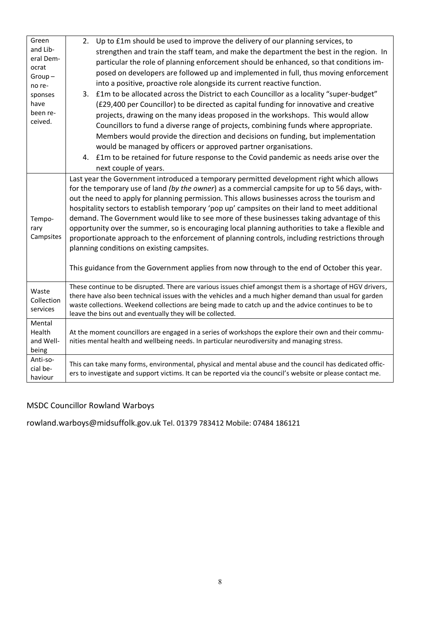| Green<br>and Lib-<br>eral Dem-<br>ocrat<br>$Group-$<br>no re-<br>sponses<br>have<br>been re-<br>ceived. | Up to £1m should be used to improve the delivery of our planning services, to<br>2.<br>strengthen and train the staff team, and make the department the best in the region. In<br>particular the role of planning enforcement should be enhanced, so that conditions im-<br>posed on developers are followed up and implemented in full, thus moving enforcement<br>into a positive, proactive role alongside its current reactive function.<br>£1m to be allocated across the District to each Councillor as a locality "super-budget"<br>3.<br>(£29,400 per Councillor) to be directed as capital funding for innovative and creative<br>projects, drawing on the many ideas proposed in the workshops. This would allow<br>Councillors to fund a diverse range of projects, combining funds where appropriate.<br>Members would provide the direction and decisions on funding, but implementation<br>would be managed by officers or approved partner organisations.<br>4. £1m to be retained for future response to the Covid pandemic as needs arise over the<br>next couple of years. |
|---------------------------------------------------------------------------------------------------------|----------------------------------------------------------------------------------------------------------------------------------------------------------------------------------------------------------------------------------------------------------------------------------------------------------------------------------------------------------------------------------------------------------------------------------------------------------------------------------------------------------------------------------------------------------------------------------------------------------------------------------------------------------------------------------------------------------------------------------------------------------------------------------------------------------------------------------------------------------------------------------------------------------------------------------------------------------------------------------------------------------------------------------------------------------------------------------------------|
| Tempo-<br>rary<br>Campsites                                                                             | Last year the Government introduced a temporary permitted development right which allows<br>for the temporary use of land (by the owner) as a commercial campsite for up to 56 days, with-<br>out the need to apply for planning permission. This allows businesses across the tourism and<br>hospitality sectors to establish temporary 'pop up' campsites on their land to meet additional<br>demand. The Government would like to see more of these businesses taking advantage of this<br>opportunity over the summer, so is encouraging local planning authorities to take a flexible and<br>proportionate approach to the enforcement of planning controls, including restrictions through<br>planning conditions on existing campsites.<br>This guidance from the Government applies from now through to the end of October this year.                                                                                                                                                                                                                                                |
| Waste<br>Collection<br>services                                                                         | These continue to be disrupted. There are various issues chief amongst them is a shortage of HGV drivers,<br>there have also been technical issues with the vehicles and a much higher demand than usual for garden<br>waste collections. Weekend collections are being made to catch up and the advice continues to be to<br>leave the bins out and eventually they will be collected.                                                                                                                                                                                                                                                                                                                                                                                                                                                                                                                                                                                                                                                                                                      |
| Mental<br>Health<br>and Well-<br>being                                                                  | At the moment councillors are engaged in a series of workshops the explore their own and their commu-<br>nities mental health and wellbeing needs. In particular neurodiversity and managing stress.                                                                                                                                                                                                                                                                                                                                                                                                                                                                                                                                                                                                                                                                                                                                                                                                                                                                                         |
| Anti-so-<br>cial be-<br>haviour                                                                         | This can take many forms, environmental, physical and mental abuse and the council has dedicated offic-<br>ers to investigate and support victims. It can be reported via the council's website or please contact me.                                                                                                                                                                                                                                                                                                                                                                                                                                                                                                                                                                                                                                                                                                                                                                                                                                                                        |

# MSDC Councillor Rowland Warboys

rowland.warboys@midsuffolk.gov.uk Tel. 01379 783412 Mobile: 07484 186121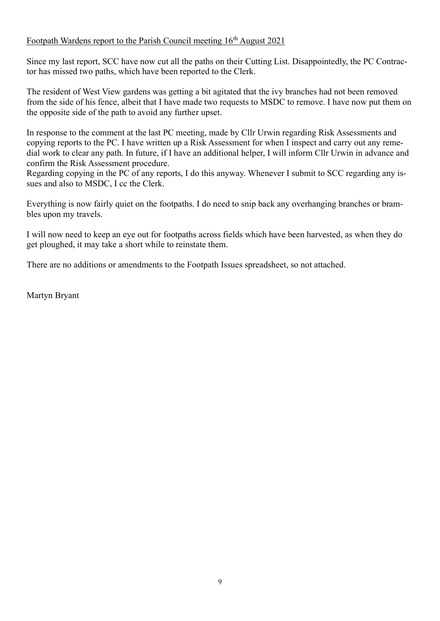# Footpath Wardens report to the Parish Council meeting  $16<sup>th</sup>$  August 2021

Since my last report, SCC have now cut all the paths on their Cutting List. Disappointedly, the PC Contractor has missed two paths, which have been reported to the Clerk.

The resident of West View gardens was getting a bit agitated that the ivy branches had not been removed from the side of his fence, albeit that I have made two requests to MSDC to remove. I have now put them on the opposite side of the path to avoid any further upset.

In response to the comment at the last PC meeting, made by Cllr Urwin regarding Risk Assessments and copying reports to the PC. I have written up a Risk Assessment for when I inspect and carry out any remedial work to clear any path. In future, if I have an additional helper, I will inform Cllr Urwin in advance and confirm the Risk Assessment procedure.

Regarding copying in the PC of any reports, I do this anyway. Whenever I submit to SCC regarding any issues and also to MSDC, I cc the Clerk.

Everything is now fairly quiet on the footpaths. I do need to snip back any overhanging branches or brambles upon my travels.

I will now need to keep an eye out for footpaths across fields which have been harvested, as when they do get ploughed, it may take a short while to reinstate them.

There are no additions or amendments to the Footpath Issues spreadsheet, so not attached.

Martyn Bryant